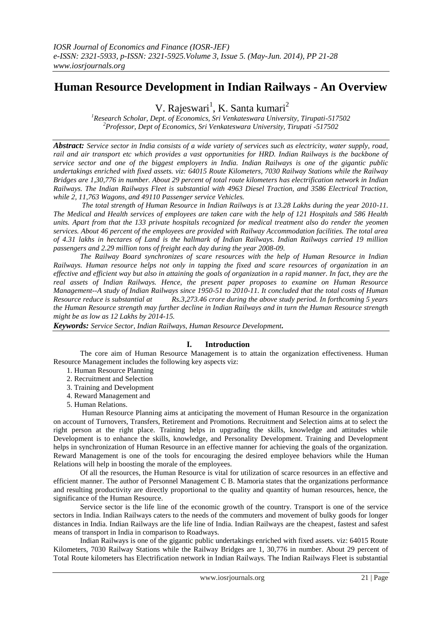# **Human Resource Development in Indian Railways - An Overview**

V. Rajeswari<sup>1</sup>, K. Santa kumari<sup>2</sup>

*<sup>1</sup>Research Scholar, Dept. of Economics, Sri Venkateswara University, Tirupati-517502 <sup>2</sup>Professor, Dept of Economics, Sri Venkateswara University, Tirupati -517502*

*Abstract: Service sector in India consists of a wide variety of services such as electricity, water supply, road, rail and air transport etc which provides a vast opportunities for HRD. Indian Railways is the backbone of service sector and one of the biggest employers in India. Indian Railways is one of the gigantic public undertakings enriched with fixed assets. viz: 64015 Route Kilometers, 7030 Railway Stations while the Railway Bridges are 1,30,776 in number. About 29 percent of total route kilometers has electrification network in Indian Railways. The Indian Railways Fleet is substantial with 4963 Diesel Traction, and 3586 Electrical Traction, while 2, 11,763 Wagons, and 49110 Passenger service Vehicles.* 

*The total strength of Human Resource in Indian Railways is at 13.28 Lakhs during the year 2010-11. The Medical and Health services of employees are taken care with the help of 121 Hospitals and 586 Health units. Apart from that the 133 private hospitals recognized for medical treatment also do render the yeomen services. About 46 percent of the employees are provided with Railway Accommodation facilities. The total area of 4.31 lakhs in hectares of Land is the hallmark of Indian Railways. Indian Railways carried 19 million passengers and 2.29 million tons of freight each day during the year 2008-09.* 

*The Railway Board synchronizes of scare resources with the help of Human Resource in Indian Railways. Human resource helps not only in tapping the fixed and scare resources of organization in an effective and efficient way but also in attaining the goals of organization in a rapid manner. In fact, they are the real assets of Indian Railways. Hence, the present paper proposes to examine on Human Resource Management--A study of Indian Railways since 1950-51 to 2010-11. It concluded that the total costs of Human Resource reduce is substantial at Rs.3,273.46 crore during the above study period. In forthcoming 5 years the Human Resource strength may further decline in Indian Railways and in turn the Human Resource strength might be as low as 12 Lakhs by 2014-15.*

*Keywords: Service Sector, Indian Railways, Human Resource Development.* 

## **I. Introduction**

The core aim of Human Resource Management is to attain the organization effectiveness. Human Resource Management includes the following key aspects viz:

- 1. Human Resource Planning
- 2. Recruitment and Selection
- 3. Training and Development
- 4. Reward Management and
- 5. Human Relations.

Human Resource Planning aims at anticipating the movement of Human Resource in the organization on account of Turnovers, Transfers, Retirement and Promotions. Recruitment and Selection aims at to select the right person at the right place. Training helps in upgrading the skills, knowledge and attitudes while Development is to enhance the skills, knowledge, and Personality Development. Training and Development helps in synchronization of Human Resource in an effective manner for achieving the goals of the organization. Reward Management is one of the tools for encouraging the desired employee behaviors while the Human Relations will help in boosting the morale of the employees.

Of all the resources, the Human Resource is vital for utilization of scarce resources in an effective and efficient manner. The author of Personnel Management C B. Mamoria states that the organizations performance and resulting productivity are directly proportional to the quality and quantity of human resources, hence, the significance of the Human Resource.

Service sector is the life line of the economic growth of the country. Transport is one of the service sectors in India. Indian Railways caters to the needs of the commuters and movement of bulky goods for longer distances in India. Indian Railways are the life line of India. Indian Railways are the cheapest, fastest and safest means of transport in India in comparison to Roadways.

Indian Railways is one of the gigantic public undertakings enriched with fixed assets. viz: 64015 Route Kilometers, 7030 Railway Stations while the Railway Bridges are 1, 30,776 in number. About 29 percent of Total Route kilometers has Electrification network in Indian Railways. The Indian Railways Fleet is substantial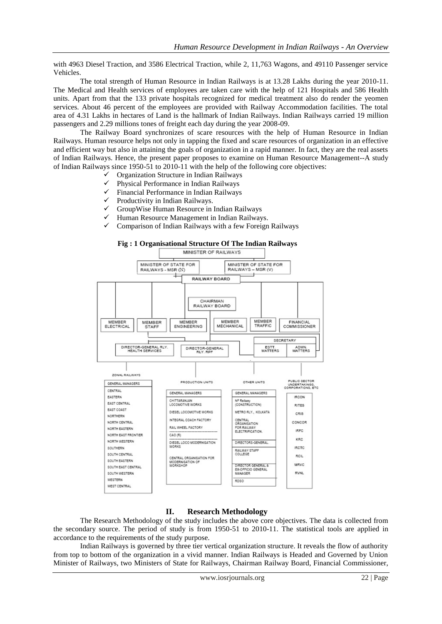with 4963 Diesel Traction, and 3586 Electrical Traction, while 2, 11,763 Wagons, and 49110 Passenger service Vehicles.

The total strength of Human Resource in Indian Railways is at 13.28 Lakhs during the year 2010-11. The Medical and Health services of employees are taken care with the help of 121 Hospitals and 586 Health units. Apart from that the 133 private hospitals recognized for medical treatment also do render the yeomen services. About 46 percent of the employees are provided with Railway Accommodation facilities. The total area of 4.31 Lakhs in hectares of Land is the hallmark of Indian Railways. Indian Railways carried 19 million passengers and 2.29 millions tones of freight each day during the year 2008-09.

The Railway Board synchronizes of scare resources with the help of Human Resource in Indian Railways. Human resource helps not only in tapping the fixed and scare resources of organization in an effective and efficient way but also in attaining the goals of organization in a rapid manner. In fact, they are the real assets of Indian Railways. Hence, the present paper proposes to examine on Human Resource Management--A study of Indian Railways since 1950-51 to 2010-11 with the help of the following core objectives:

- Organization Structure in Indian Railways
- $\checkmark$  Physical Performance in Indian Railways<br> $\checkmark$  Financial Performance in Indian Railways
- $\checkmark$  Financial Performance in Indian Railways<br> $\checkmark$  Productivity in Indian Railways.
- $\checkmark$  Productivity in Indian Railways.<br> $\checkmark$  GrounWise Human Resource in
- GroupWise Human Resource in Indian Railways
- $\checkmark$  Human Resource Management in Indian Railways.



## **II. Research Methodology**

The Research Methodology of the study includes the above core objectives. The data is collected from the secondary source. The period of study is from 1950-51 to 2010-11. The statistical tools are applied in accordance to the requirements of the study purpose.

Indian Railways is governed by three tier vertical organization structure. It reveals the flow of authority from top to bottom of the organization in a vivid manner. Indian Railways is Headed and Governed by Union Minister of Railways, two Ministers of State for Railways, Chairman Railway Board, Financial Commissioner,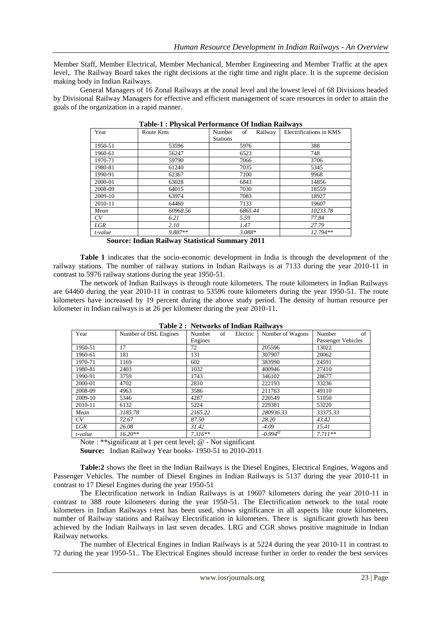Member Staff, Member Electrical, Member Mechanical, Member Engineering and Member Traffic at the apex level,. The Railway Board takes the right decisions at the right time and right place. It is the supreme decision making body in Indian Railways.

General Managers of 16 Zonal Railways at the zonal level and the lowest level of 68 Divisions headed by Divisional Railway Managers for effective and efficient management of scare resources in order to attain the goals of the organization in a rapid manner.

| Year    | Route Kms | of<br>Railway<br>Number<br><b>Stations</b> | ு —<br>Electrifications in KMS |
|---------|-----------|--------------------------------------------|--------------------------------|
| 1950-51 | 53596     | 5976                                       | 388                            |
| 1960-61 | 56247     | 6523                                       | 748                            |
| 1970-71 | 59790     | 7066                                       | 3706                           |
| 1980-81 | 61240     | 7035                                       | 5345                           |
| 1990-91 | 62367     | 7100                                       | 9968                           |
| 2000-01 | 63028     | 6843                                       | 14856                          |
| 2008-09 | 64015     | 7030                                       | 18559                          |
| 2009-10 | 63974     | 7083                                       | 18927                          |
| 2010-11 | 64460     | 7133                                       | 19607                          |
| Mean    | 60968.56  | 6865.44                                    | 10233.78                       |
| CV      | 6.21      | 5.59                                       | 77.84                          |
| LGR     | 2.10      | 1.47                                       | 27.79                          |
| t-value | 9.887**   | $3.088*$                                   | $12.794**$                     |

|  | Table-1 : Physical Performance Of Indian Railways |  |
|--|---------------------------------------------------|--|
|  |                                                   |  |

**Source: Indian Railway Statistical Summary 2011**

**Table 1** indicates that the socio-economic development in India is through the development of the railway stations. The number of railway stations in Indian Railways is at 7133 during the year 2010-11 in contrast to 5976 railway stations during the year 1950-51.

The network of Indian Railways is through route kilometers. The route kilometers in Indian Railways are 64460 during the year 2010-11 in contrast to 53596 route kilometers during the year 1950-51. The route kilometers have increased by 19 percent during the above study period. The density of human resource per kilometer in Indian railways is at 26 per kilometer during the year 2010-11.

|         |                       | $\mathbf{1}$ and $\mathbf{1}$ , $\mathbf{1}$ , $\mathbf{1}$ , $\mathbf{1}$ , $\mathbf{1}$ , $\mathbf{1}$ , $\mathbf{1}$ , $\mathbf{1}$ , $\mathbf{1}$ , $\mathbf{1}$ , $\mathbf{1}$ , $\mathbf{1}$ , $\mathbf{1}$ , $\mathbf{1}$ , $\mathbf{1}$ , $\mathbf{1}$ , $\mathbf{1}$ , $\mathbf{1}$ , $\mathbf{1}$ , |                  |                    |
|---------|-----------------------|---------------------------------------------------------------------------------------------------------------------------------------------------------------------------------------------------------------------------------------------------------------------------------------------------------------|------------------|--------------------|
| Year    | Number of DSL Engines | Number<br>Electric<br>of                                                                                                                                                                                                                                                                                      | Number of Wagons | Number<br>of       |
|         |                       | Engines                                                                                                                                                                                                                                                                                                       |                  | Passenger Vehicles |
| 1950-51 | 17                    | 72                                                                                                                                                                                                                                                                                                            | 205596           | 13022              |
| 1960-61 | 181                   | 131                                                                                                                                                                                                                                                                                                           | 307907           | 20062              |
| 1970-71 | 1169                  | 602                                                                                                                                                                                                                                                                                                           | 383990           | 24591              |
| 1980-81 | 2403                  | 1032                                                                                                                                                                                                                                                                                                          | 400946           | 27410              |
| 1990-91 | 3759                  | 1743                                                                                                                                                                                                                                                                                                          | 346102           | 28677              |
| 2000-01 | 4702                  | 2810                                                                                                                                                                                                                                                                                                          | 222193           | 33236              |
| 2008-09 | 4963                  | 3586                                                                                                                                                                                                                                                                                                          | 211763           | 49110              |
| 2009-10 | 5346                  | 4287                                                                                                                                                                                                                                                                                                          | 220549           | 51050              |
| 2010-11 | 6132                  | 5224                                                                                                                                                                                                                                                                                                          | 229381           | 53220              |
| Mean    | 3185.78               | 2165.22                                                                                                                                                                                                                                                                                                       | 280936.33        | 33375.33           |
| CV      | 72.67                 | 87.50                                                                                                                                                                                                                                                                                                         | 28.20            | 43.42              |
| LGR     | 26.08                 | 31.42                                                                                                                                                                                                                                                                                                         | $-4.09$          | 15.41              |
| t-value | $16.20**$             | $7.316**$                                                                                                                                                                                                                                                                                                     | $-0.994^{\circ}$ | $7.711**$          |

**Table 2 : Networks of Indian Railways**

Note : \*\*significant at 1 per cent level; @ - Not significant

**Source:** Indian Railway Year books- 1950-51 to 2010-2011

**Table:2** shows the fleet in the Indian Railways is the Diesel Engines, Electrical Engines, Wagons and Passenger Vehicles. The number of Diesel Engines in Indian Railways is 5137 during the year 2010-11 in contrast to 17 Diesel Engines during the year 1950-51

The Electrification network in Indian Railways is at 19607 kilometers during the year 2010-11 in contrast to 388 route kilometers during the year 1950-51. The Electrification network to the total route kilometers in Indian Railways t-test has been used, shows significance in all aspects like route kilometers, number of Railway stations and Railway Electrification in kilometers. There is significant growth has been achieved by the Indian Railways in last seven decades. LRG and CGR shows positive magnitude in Indian Railway networks.

The number of Electrical Engines in Indian Railways is at 5224 during the year 2010-11 in contrast to 72 during the year 1950-51.. The Electrical Engines should increase further in order to render the best services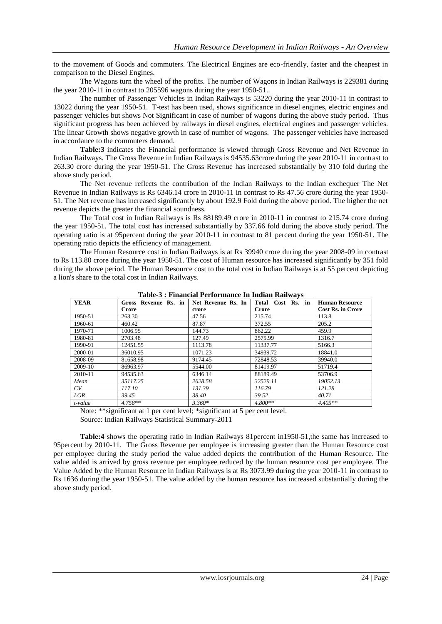to the movement of Goods and commuters. The Electrical Engines are eco-friendly, faster and the cheapest in comparison to the Diesel Engines.

The Wagons turn the wheel of the profits. The number of Wagons in Indian Railways is 229381 during the year 2010-11 in contrast to 205596 wagons during the year 1950-51..

The number of Passenger Vehicles in Indian Railways is 53220 during the year 2010-11 in contrast to 13022 during the year 1950-51. T-test has been used, shows significance in diesel engines, electric engines and passenger vehicles but shows Not Significant in case of number of wagons during the above study period. Thus significant progress has been achieved by railways in diesel engines, electrical engines and passenger vehicles. The linear Growth shows negative growth in case of number of wagons. The passenger vehicles have increased in accordance to the commuters demand.

**Table:3** indicates the Financial performance is viewed through Gross Revenue and Net Revenue in Indian Railways. The Gross Revenue in Indian Railways is 94535.63crore during the year 2010-11 in contrast to 263.30 crore during the year 1950-51. The Gross Revenue has increased substantially by 310 fold during the above study period.

The Net revenue reflects the contribution of the Indian Railways to the Indian exchequer The Net Revenue in Indian Railways is Rs 6346.14 crore in 2010-11 in contrast to Rs 47.56 crore during the year 1950- 51. The Net revenue has increased significantly by about 192.9 Fold during the above period. The higher the net revenue depicts the greater the financial soundness.

The Total cost in Indian Railways is Rs 88189.49 crore in 2010-11 in contrast to 215.74 crore during the year 1950-51. The total cost has increased substantially by 337.66 fold during the above study period. The operating ratio is at 95percent during the year 2010-11 in contrast to 81 percent during the year 1950-51. The operating ratio depicts the efficiency of management.

The Human Resource cost in Indian Railways is at Rs 39940 crore during the year 2008-09 in contrast to Rs 113.80 crore during the year 1950-51. The cost of Human resource has increased significantly by 351 fold during the above period. The Human Resource cost to the total cost in Indian Railways is at 55 percent depicting a lion's share to the total cost in Indian Railways.

| <b>YEAR</b> | Gross Revenue Rs. in | Net Revenue Rs. In | Total Cost Rs. in | <b>Human Resource</b>    |
|-------------|----------------------|--------------------|-------------------|--------------------------|
|             | Crore                | crore              | Crore             | <b>Cost Rs. in Crore</b> |
| 1950-51     | 263.30               | 47.56              | 215.74            | 113.8                    |
| 1960-61     | 460.42               | 87.87              | 372.55            | 205.2                    |
| 1970-71     | 1006.95              | 144.73             | 862.22            | 459.9                    |
| 1980-81     | 2703.48              | 127.49             | 2575.99           | 1316.7                   |
| 1990-91     | 12451.55             | 1113.78            | 11337.77          | 5166.3                   |
| 2000-01     | 36010.95             | 1071.23            | 34939.72          | 18841.0                  |
| 2008-09     | 81658.98             | 9174.45            | 72848.53          | 39940.0                  |
| 2009-10     | 86963.97             | 5544.00            | 81419.97          | 51719.4                  |
| 2010-11     | 94535.63             | 6346.14            | 88189.49          | 53706.9                  |
| Mean        | 35117.25             | 2628.58            | 32529.11          | 19052.13                 |
| CV          | 117.10               | 131.39             | 116.79            | 121.28                   |
| LGR         | 39.45                | 38.40              | 39.52             | 40.71                    |
| t-value     | $4.758**$            | $3.360*$           | $4.800**$         | $4.405**$                |

**Table-3 : Financial Performance In Indian Railways**

Note: \*\*significant at 1 per cent level; \*significant at 5 per cent level.

Source: Indian Railways Statistical Summary-2011

**Table:4** shows the operating ratio in Indian Railways 81percent in1950-51,the same has increased to 95percent by 2010-11. The Gross Revenue per employee is increasing greater than the Human Resource cost per employee during the study period the value added depicts the contribution of the Human Resource. The value added is arrived by gross revenue per employee reduced by the human resource cost per employee. The Value Added by the Human Resource in Indian Railways is at Rs 3073.99 during the year 2010-11 in contrast to Rs 1636 during the year 1950-51. The value added by the human resource has increased substantially during the above study period.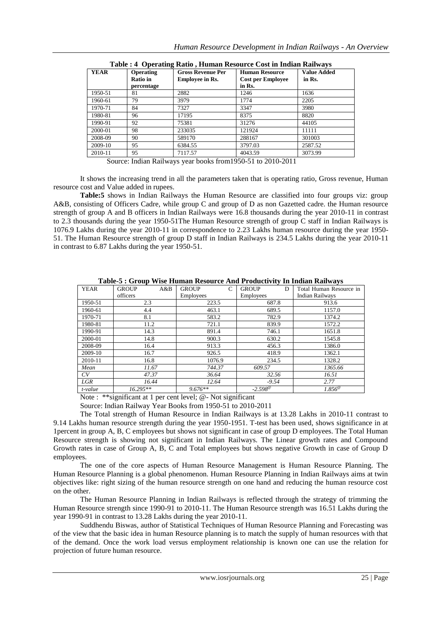| <b>YEAR</b> | <b>Operating</b><br><b>Ratio</b> in<br>percentage | <b>Gross Revenue Per</b><br><b>Employee in Rs.</b> | <b>Human Resource</b><br><b>Cost per Employee</b><br>in Rs. | <b>Value Added</b><br>in Rs. |
|-------------|---------------------------------------------------|----------------------------------------------------|-------------------------------------------------------------|------------------------------|
| 1950-51     | 81                                                | 2882                                               | 1246                                                        | 1636                         |
| 1960-61     | 79                                                | 3979                                               | 1774                                                        | 2205                         |
| 1970-71     | 84                                                | 7327                                               | 3347                                                        | 3980                         |
| 1980-81     | 96                                                | 17195                                              | 8375                                                        | 8820                         |
| 1990-91     | 92                                                | 75381                                              | 31276                                                       | 44105                        |
| 2000-01     | 98                                                | 233035                                             | 121924                                                      | 11111                        |
| 2008-09     | 90                                                | 589170                                             | 288167                                                      | 301003                       |
| 2009-10     | 95                                                | 6384.55                                            | 3797.03                                                     | 2587.52                      |
| 2010-11     | 95                                                | 7117.57                                            | 4043.59                                                     | 3073.99                      |

| Table : 4 Operating Ratio, Human Resource Cost in Indian Railways |
|-------------------------------------------------------------------|
|-------------------------------------------------------------------|

Source: Indian Railways year books from1950-51 to 2010-2011

It shows the increasing trend in all the parameters taken that is operating ratio, Gross revenue, Human resource cost and Value added in rupees.

**Table:5** shows in Indian Railways the Human Resource are classified into four groups viz: group A&B, consisting of Officers Cadre, while group C and group of D as non Gazetted cadre. the Human resource strength of group A and B officers in Indian Railways were 16.8 thousands during the year 2010-11 in contrast to 2.3 thousands during the year 1950-51The Human Resource strength of group C staff in Indian Railways is 1076.9 Lakhs during the year 2010-11 in correspondence to 2.23 Lakhs human resource during the year 1950- 51. The Human Resource strength of group D staff in Indian Railways is 234.5 Lakhs during the year 2010-11 in contrast to 6.87 Lakhs during the year 1950-51.

| TROIC C + OLOGD ++10C LIGHIGH INCOUNTCUTING ITOGRAPHY IN INGIGHT INGHTH C |                     |                               |                   |                         |  |
|---------------------------------------------------------------------------|---------------------|-------------------------------|-------------------|-------------------------|--|
| <b>YEAR</b>                                                               | A&B<br><b>GROUP</b> | <b>GROUP</b><br>$\mathcal{C}$ | <b>GROUP</b><br>D | Total Human Resource in |  |
|                                                                           | officers            | Employees                     | <b>Employees</b>  | <b>Indian Railways</b>  |  |
| 1950-51                                                                   | 2.3                 | 223.5                         | 687.8             | 913.6                   |  |
| 1960-61                                                                   | 4.4                 | 463.1                         | 689.5             | 1157.0                  |  |
| 1970-71                                                                   | 8.1                 | 583.2                         | 782.9             | 1374.2                  |  |
| 1980-81                                                                   | 11.2                | 721.1                         | 839.9             | 1572.2                  |  |
| 1990-91                                                                   | 14.3                | 891.4                         | 746.1             | 1651.8                  |  |
| 2000-01                                                                   | 14.8                | 900.3                         | 630.2             | 1545.8                  |  |
| 2008-09                                                                   | 16.4                | 913.3                         | 456.3             | 1386.0                  |  |
| 2009-10                                                                   | 16.7                | 926.5                         | 418.9             | 1362.1                  |  |
| 2010-11                                                                   | 16.8                | 1076.9                        | 234.5             | 1328.2                  |  |
| Mean                                                                      | 11.67               | 744.37                        | 609.57            | 1365.66                 |  |
| CV                                                                        | 47.37               | 36.64                         | 32.56             | 16.51                   |  |
| LGR                                                                       | 16.44               | 12.64                         | $-9.54$           | 2.77                    |  |
| t-value                                                                   | $16.295**$          | $9.676**$                     | $-2.598^{\circ}$  | $1.856^{\circ}$         |  |

**Table-5 : Group Wise Human Resource And Productivity In Indian Railways**

Note : \*\*significant at 1 per cent level; @- Not significant

Source: Indian Railway Year Books from 1950-51 to 2010-2011

The Total strength of Human Resource in Indian Railways is at 13.28 Lakhs in 2010-11 contrast to 9.14 Lakhs human resource strength during the year 1950-1951. T-test has been used, shows significance in at 1percent in group A, B, C employees but shows not significant in case of group D employees. The Total Human Resource strength is showing not significant in Indian Railways. The Linear growth rates and Compound Growth rates in case of Group A, B, C and Total employees but shows negative Growth in case of Group D employees.

The one of the core aspects of Human Resource Management is Human Resource Planning. The Human Resource Planning is a global phenomenon. Human Resource Planning in Indian Railways aims at twin objectives like: right sizing of the human resource strength on one hand and reducing the human resource cost on the other.

The Human Resource Planning in Indian Railways is reflected through the strategy of trimming the Human Resource strength since 1990-91 to 2010-11. The Human Resource strength was 16.51 Lakhs during the year 1990-91 in contrast to 13.28 Lakhs during the year 2010-11.

Suddhendu Biswas, author of Statistical Techniques of Human Resource Planning and Forecasting was of the view that the basic idea in human Resource planning is to match the supply of human resources with that of the demand. Once the work load versus employment relationship is known one can use the relation for projection of future human resource.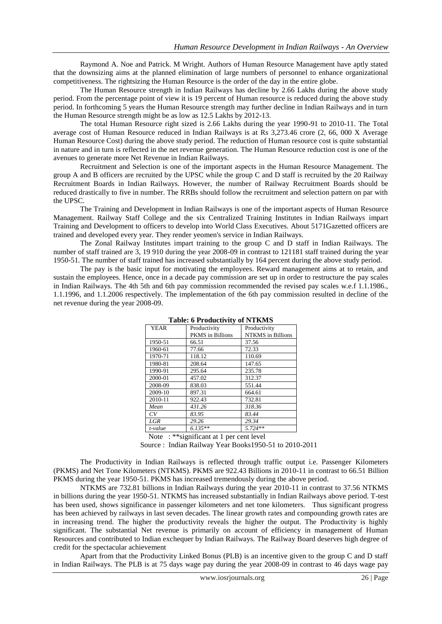Raymond A. Noe and Patrick. M Wright. Authors of Human Resource Management have aptly stated that the downsizing aims at the planned elimination of large numbers of personnel to enhance organizational competitiveness. The rightsizing the Human Resource is the order of the day in the entire globe.

The Human Resource strength in Indian Railways has decline by 2.66 Lakhs during the above study period. From the percentage point of view it is 19 percent of Human resource is reduced during the above study period. In forthcoming 5 years the Human Resource strength may further decline in Indian Railways and in turn the Human Resource strength might be as low as 12.5 Lakhs by 2012-13.

The total Human Resource right sized is 2.66 Lakhs during the year 1990-91 to 2010-11. The Total average cost of Human Resource reduced in Indian Railways is at Rs 3,273.46 crore (2, 66, 000 X Average Human Resource Cost) during the above study period. The reduction of Human resource cost is quite substantial in nature and in turn is reflected in the net revenue generation. The Human Resource reduction cost is one of the avenues to generate more Net Revenue in Indian Railways.

Recruitment and Selection is one of the important aspects in the Human Resource Management. The group A and B officers are recruited by the UPSC while the group C and D staff is recruited by the 20 Railway Recruitment Boards in Indian Railways. However, the number of Railway Recruitment Boards should be reduced drastically to five in number. The RRBs should follow the recruitment and selection pattern on par with the UPSC.

The Training and Development in Indian Railways is one of the important aspects of Human Resource Management. Railway Staff College and the six Centralized Training Institutes in Indian Railways impart Training and Development to officers to develop into World Class Executives. About 5171Gazetted officers are trained and developed every year. They render yeomen's service in Indian Railways.

The Zonal Railway Institutes impart training to the group C and D staff in Indian Railways. The number of staff trained are 3, 19 910 during the year 2008-09 in contrast to 121181 staff trained during the year 1950-51. The number of staff trained has increased substantially by 164 percent during the above study period.

The pay is the basic input for motivating the employees. Reward management aims at to retain, and sustain the employees. Hence, once in a decade pay commission are set up in order to restructure the pay scales in Indian Railways. The 4th 5th and 6th pay commission recommended the revised pay scales w.e.f 1.1.1986., 1.1.1996, and 1.1.2006 respectively. The implementation of the 6th pay commission resulted in decline of the net revenue during the year 2008-09.

| Table. 0 I Foundativity of INTIXIVID |                                  |                                          |  |  |
|--------------------------------------|----------------------------------|------------------------------------------|--|--|
| <b>YEAR</b>                          | Productivity<br>PKMS in Billions | Productivity<br><b>NTKMS</b> in Billions |  |  |
| 1950-51                              | 66.51                            | 37.56                                    |  |  |
| 1960-61                              | 77.66                            | 72.33                                    |  |  |
| 1970-71                              | 118.12                           | 110.69                                   |  |  |
| 1980-81                              | 208.64                           | 147.65                                   |  |  |
| 1990-91                              | 295.64                           | 235.78                                   |  |  |
| 2000-01                              | 457.02                           | 312.37                                   |  |  |
| 2008-09                              | 838.03                           | 551.44                                   |  |  |
| 2009-10                              | 897.31                           | 664.61                                   |  |  |
| 2010-11                              | 922.43                           | 732.81                                   |  |  |
| Mean                                 | 431.26                           | 318.36                                   |  |  |
| CV                                   | 83.95                            | 83.44                                    |  |  |
| <b>LGR</b>                           | 29.26                            | 29.34                                    |  |  |
| t-value                              | $6.135**$                        | $5.724**$                                |  |  |

**Table: 6 Productivity of NTKMS**

Note : \*\*significant at 1 per cent level

Source : Indian Railway Year Books1950-51 to 2010-2011

The Productivity in Indian Railways is reflected through traffic output i.e. Passenger Kilometers (PKMS) and Net Tone Kilometers (NTKMS). PKMS are 922.43 Billions in 2010-11 in contrast to 66.51 Billion PKMS during the year 1950-51. PKMS has increased tremendously during the above period.

NTKMS are 732.81 billions in Indian Railways during the year 2010-11 in contrast to 37.56 NTKMS in billions during the year 1950-51. NTKMS has increased substantially in Indian Railways above period. T-test has been used, shows significance in passenger kilometers and net tone kilometers. Thus significant progress has been achieved by railways in last seven decades. The linear growth rates and compounding growth rates are in increasing trend. The higher the productivity reveals the higher the output. The Productivity is highly significant. The substantial Net revenue is primarily on account of efficiency in management of Human Resources and contributed to Indian exchequer by Indian Railways. The Railway Board deserves high degree of credit for the spectacular achievement

Apart from that the Productivity Linked Bonus (PLB) is an incentive given to the group C and D staff in Indian Railways. The PLB is at 75 days wage pay during the year 2008-09 in contrast to 46 days wage pay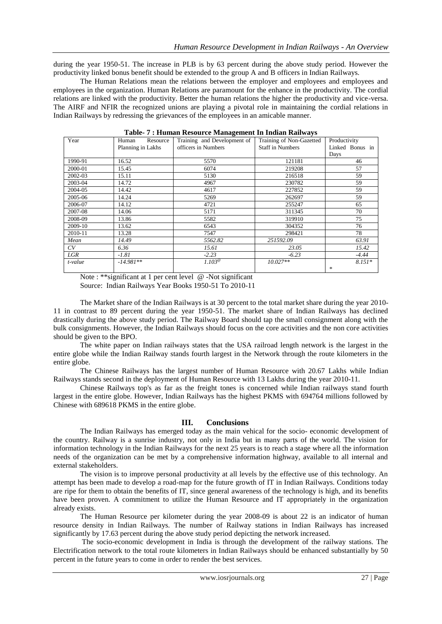during the year 1950-51. The increase in PLB is by 63 percent during the above study period. However the productivity linked bonus benefit should be extended to the group A and B officers in Indian Railways.

The Human Relations mean the relations between the employer and employees and employees and employees in the organization. Human Relations are paramount for the enhance in the productivity. The cordial relations are linked with the productivity. Better the human relations the higher the productivity and vice-versa. The AIRF and NFIR the recognized unions are playing a pivotal role in maintaining the cordial relations in Indian Railways by redressing the grievances of the employees in an amicable manner.

| Year    | Human<br>Resource | ັ<br>Training and Development of | Training of Non-Gazetted | Productivity    |
|---------|-------------------|----------------------------------|--------------------------|-----------------|
|         | Planning in Lakhs | officers in Numbers              | <b>Staff in Numbers</b>  | Linked Bonus in |
|         |                   |                                  |                          | Days            |
| 1990-91 | 16.52             | 5570                             | 121181                   | 46              |
| 2000-01 | 15.45             | 6074                             | 219208                   | 57              |
| 2002-03 | 15.11             | 5130                             | 216518                   | 59              |
| 2003-04 | 14.72             | 4967                             | 230782                   | 59              |
| 2004-05 | 14.42             | 4617                             | 227852                   | 59              |
| 2005-06 | 14.24             | 5269                             | 262697                   | 59              |
| 2006-07 | 14.12             | 4721                             | 255247                   | 65              |
| 2007-08 | 14.06             | 5171                             | 311345                   | 70              |
| 2008-09 | 13.86             | 5582                             | 319910                   | 75              |
| 2009-10 | 13.62             | 6543                             | 304352                   | 76              |
| 2010-11 | 13.28             | 7547                             | 298421                   | 78              |
| Mean    | 14.49             | 5562.82                          | 251592.09                | 63.91           |
| CV      | 6.36              | 15.61                            | 23.05                    | 15.42           |
| LGR     | $-1.81$           | $-2.23$                          | $-6.23$                  | $-4.44$         |
| t-value | $-14.981**$       | $1.103^{\circ}$                  | $10.027**$               | $8.151*$        |
|         |                   |                                  |                          | $\frac{1}{2}$   |

**Table- 7 : Human Resource Management In Indian Railways**

Note : \*\*significant at 1 per cent level @ -Not significant

Source: Indian Railways Year Books 1950-51 To 2010-11

The Market share of the Indian Railways is at 30 percent to the total market share during the year 2010- 11 in contrast to 89 percent during the year 1950-51. The market share of Indian Railways has declined drastically during the above study period. The Railway Board should tap the small consignment along with the bulk consignments. However, the Indian Railways should focus on the core activities and the non core activities should be given to the BPO.

The white paper on Indian railways states that the USA railroad length network is the largest in the entire globe while the Indian Railway stands fourth largest in the Network through the route kilometers in the entire globe.

The Chinese Railways has the largest number of Human Resource with 20.67 Lakhs while Indian Railways stands second in the deployment of Human Resource with 13 Lakhs during the year 2010-11.

Chinese Railways top's as far as the freight tones is concerned while Indian railways stand fourth largest in the entire globe. However, Indian Railways has the highest PKMS with 694764 millions followed by Chinese with 689618 PKMS in the entire globe.

## **III. Conclusions**

The Indian Railways has emerged today as the main vehical for the socio- economic development of the country. Railway is a sunrise industry, not only in India but in many parts of the world. The vision for information technology in the Indian Railways for the next 25 years is to reach a stage where all the information needs of the organization can be met by a comprehensive information highway, available to all internal and external stakeholders.

The vision is to improve personal productivity at all levels by the effective use of this technology. An attempt has been made to develop a road-map for the future growth of IT in Indian Railways. Conditions today are ripe for them to obtain the benefits of IT, since general awareness of the technology is high, and its benefits have been proven. A commitment to utilize the Human Resource and IT appropriately in the organization already exists.

The Human Resource per kilometer during the year 2008-09 is about 22 is an indicator of human resource density in Indian Railways. The number of Railway stations in Indian Railways has increased significantly by 17.63 percent during the above study period depicting the network increased.

The socio-economic development in India is through the development of the railway stations. The Electrification network to the total route kilometers in Indian Railways should be enhanced substantially by 50 percent in the future years to come in order to render the best services.